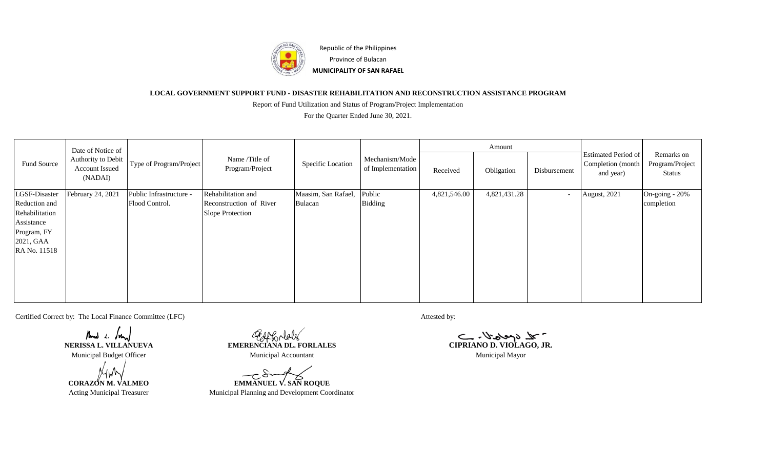

## **LOCAL GOVERNMENT SUPPORT FUND - DISASTER REHABILITATION AND RECONSTRUCTION ASSISTANCE PROGRAM**

Report of Fund Utilization and Status of Program/Project Implementation

For the Quarter Ended June 30, 2021.

| Fund Source                                                               | Date of Notice of<br>Authority to Debit<br>Account Issued<br>(NADAI) | Type of Program/Project | Name /Title of<br>Program/Project           | Specific Location   | Mechanism/Mode<br>of Implementation | Amount       |              |                          |                                                              |                                         |
|---------------------------------------------------------------------------|----------------------------------------------------------------------|-------------------------|---------------------------------------------|---------------------|-------------------------------------|--------------|--------------|--------------------------|--------------------------------------------------------------|-----------------------------------------|
|                                                                           |                                                                      |                         |                                             |                     |                                     | Received     | Obligation   | Disbursement             | <b>Estimated Period of</b><br>Completion (month<br>and year) | Remarks on<br>Program/Project<br>Status |
| LGSF-Disaster                                                             | February 24, 2021                                                    | Public Infrastructure - | Rehabilitation and                          | Maasim, San Rafael, | Public                              | 4,821,546.00 | 4,821,431.28 | $\overline{\phantom{a}}$ | August, 2021                                                 | On-going - 20%                          |
| Reduction and<br>Rehabilitation<br>Assistance<br>Program, FY<br>2021, GAA |                                                                      | Flood Control.          | Reconstruction of River<br>Slope Protection | Bulacan             | <b>Bidding</b>                      |              |              |                          |                                                              | completion                              |
| RA No. 11518                                                              |                                                                      |                         |                                             |                     |                                     |              |              |                          |                                                              |                                         |

Certified Correct by: The Local Finance Committee (LFC) Attested by:

Mand  $\angle$  form

**Now L. Imm**<br> **NERISSA L. VILLANUEVA EMERENCIANA DL. FORLALES** 

**CORAZON M. VALMEO EMMANUEL V. SAN ROQUE** Acting Municipal Treasurer Municipal Planning and Development Coordinator

CIPRIANO D. VIOLAGO, JR. Municipal Budget Officer Municipal Municipal Accountant Municipal Mayor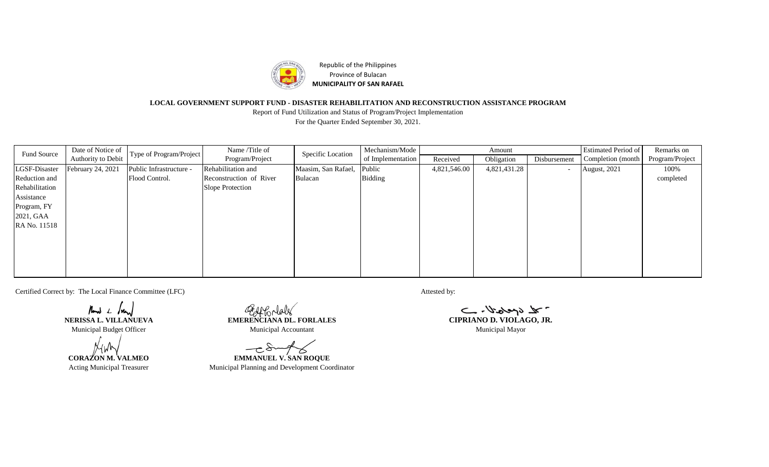

Republic of the Philippines Province of Bulacan **MUNICIPALITY OF SAN RAFAEL**

## **LOCAL GOVERNMENT SUPPORT FUND - DISASTER REHABILITATION AND RECONSTRUCTION ASSISTANCE PROGRAM**

For the Quarter Ended September 30, 2021. Report of Fund Utilization and Status of Program/Project Implementation

| Fund Source    | Date of Notice of  | Type of Program/Project | Name /Title of<br>Program/Project | Specific Location   | Mechanism/Mode    |              | Amount       |              | <b>Estimated Period of</b> | Remarks on      |
|----------------|--------------------|-------------------------|-----------------------------------|---------------------|-------------------|--------------|--------------|--------------|----------------------------|-----------------|
|                | Authority to Debit |                         |                                   |                     | of Implementation | Received     | Obligation   | Disbursement | Completion (month)         | Program/Project |
| LGSF-Disaster  | February 24, 2021  | Public Infrastructure - | Rehabilitation and                | Maasim, San Rafael, | Public            | 4,821,546.00 | 4,821,431.28 | $\sim$       | August, 2021               | 100%            |
| Reduction and  |                    | Flood Control.          | Reconstruction of River           | Bulacan             | <b>Bidding</b>    |              |              |              |                            | completed       |
| Rehabilitation |                    |                         | Slope Protection                  |                     |                   |              |              |              |                            |                 |
| Assistance     |                    |                         |                                   |                     |                   |              |              |              |                            |                 |
| Program, FY    |                    |                         |                                   |                     |                   |              |              |              |                            |                 |
| 2021, GAA      |                    |                         |                                   |                     |                   |              |              |              |                            |                 |
| RA No. 11518   |                    |                         |                                   |                     |                   |              |              |              |                            |                 |
|                |                    |                         |                                   |                     |                   |              |              |              |                            |                 |
|                |                    |                         |                                   |                     |                   |              |              |              |                            |                 |
|                |                    |                         |                                   |                     |                   |              |              |              |                            |                 |
|                |                    |                         |                                   |                     |                   |              |              |              |                            |                 |
|                |                    |                         |                                   |                     |                   |              |              |              |                            |                 |

Certified Correct by: The Local Finance Committee (LFC) Attested by: Attested by:

Mand  $1.$  Mand

Geoffondales **NERISSA L. VILLANUEVA EMERENCIANA DL. FORLALES CIPRIANO D. VIOLAGO, JR.** Municipal Budget Officer Municipal Municipal Accountant Municipal Mayor

 $-\infty$ **CORAZON M. VALMEO EMMANUEL V. SAN ROQUE**

Acting Municipal Treasurer Municipal Planning and Development Coordinator

 $-2\sqrt{3}$